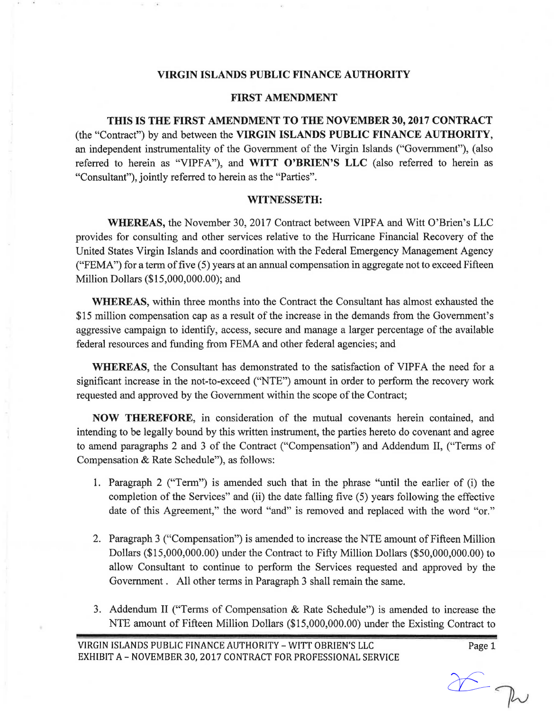# **VIRGIN ISLANDS PUBLIC FINANCE AUTHORITY**

## **FIRST AMENDMENT**

**THIS IS THE FIRST AMENDMENT TO THE NOVEMBER 30, 2017 CONTRACT**  (the "Contract") by and between the **VIRGIN ISLANDS PUBLIC FINANCE AUTHORITY,**  an independent instrumentality of the Government of the Virgin Islands ("Government"), (also referred to herein as "VIPFA"), and WITT O'BRIEN'S LLC (also referred to herein as "Consultant"), jointly referred to herein as the "Parties".

### **WITNESSETH:**

**WHEREAS,** the November 30, 2017 Contract between VIPFA and Witt O'Brien's LLC provides for consulting and other services relative to the Hurricane Financial Recovery of the United States Virgin Islands and coordination with the Federal Emergency Management Agency ("FEMA") for a term of five (5) years at an annual compensation in aggregate not to exceed Fifteen Million Dollars (\$15,000,000.00); and

**WHEREAS,** within three months into the Contract the Consultant has almost exhausted the \$15 million compensation cap as a result of the increase in the demands from the Government's aggressive campaign to identify, access, secure and manage a larger percentage of the available federal resources and funding from FEMA and other federal agencies; and

**WHEREAS**, the Consultant has demonstrated to the satisfaction of VIPFA the need for a significant increase in the not-to-exceed ("NTE") amount in order to perform the recovery work requested and approved by the Government within the scope of the Contract;

**NOW THEREFORE,** in consideration of the mutual covenants herein contained, and intending to be legally bound by this written instrument, the parties hereto do covenant and agree to amend paragraphs 2 and 3 of the Contract ("Compensation") and Addendum II, ("Terms of Compensation & Rate Schedule"), as follows:

- 1. Paragraph 2 ("Term") is amended such that in the phrase "until the earlier of (i) the completion of the Services" and (ii) the date falling five (5) years following the effective date of this Agreement," the word "and" is removed and replaced with the word "or."
- 2. Paragraph 3 ("Compensation") is amended to increase the NTE amount of Fifteen Million Dollars (\$15,000,000.00) under the Contract to Fifty Million Dollars (\$50,000,000.00) to allow Consultant to continue to perform the Services requested and approved by the Government . All other terms in Paragraph 3 shall remain the same.
- 3. Addendum II ("Terms of Compensation & Rate Schedule") is amended to increase the NTE amount of Fifteen Million Dollars (\$15,000,000.00) under the Existing Contract to

Page 1

 $26\nu$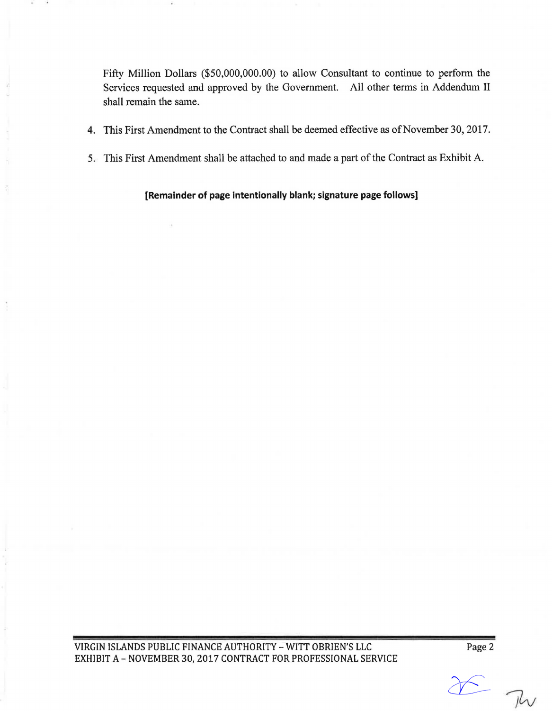Fifty Million Dollars (\$50,000,000.00) to allow Consultant to continue to perform the Services requested and approved by the Government. All other terms in Addendum II shall remain the same.

- 4. This First Amendment to the Contract shall be deemed effective as of November 30, 2017.
- 5. This First Amendment shall be attached to and made a part of the Contract as Exhibit A.

**[Remainder of page Intentionally blank; signature page follows]** 

VIRGIN ISLANDS PUBLIC FINANCE AUTHORITY - WITT OBRIEN'S LLC EXHIBIT A - NOVEMBER 30, 2017 CONTRACT FOR PROFESSIONAL SERVICE Page 2

 $\Sigma$  Tw